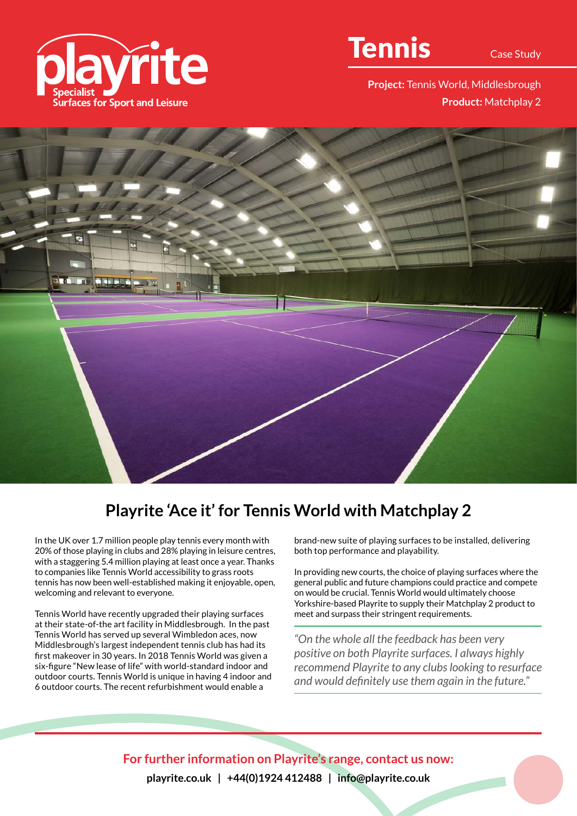

## Tennis

**Project:** Tennis World, Middlesbrough **Product:** Matchplay 2



## **Playrite 'Ace it' for Tennis World with Matchplay 2**

In the UK over 1.7 million people play tennis every month with 20% of those playing in clubs and 28% playing in leisure centres, with a staggering 5.4 million playing at least once a year. Thanks to companies like Tennis World accessibility to grass roots tennis has now been well-established making it enjoyable, open, welcoming and relevant to everyone.

Tennis World have recently upgraded their playing surfaces at their state-of-the art facility in Middlesbrough. In the past Tennis World has served up several Wimbledon aces, now Middlesbrough's largest independent tennis club has had its first makeover in 30 years. In 2018 Tennis World was given a six-figure "New lease of life" with world-standard indoor and outdoor courts. Tennis World is unique in having 4 indoor and 6 outdoor courts. The recent refurbishment would enable a

brand-new suite of playing surfaces to be installed, delivering both top performance and playability.

In providing new courts, the choice of playing surfaces where the general public and future champions could practice and compete on would be crucial. Tennis World would ultimately choose Yorkshire-based Playrite to supply their Matchplay 2 product to meet and surpass their stringent requirements.

*"On the whole all the feedback has been very positive on both Playrite surfaces. I always highly recommend Playrite to any clubs looking to resurface and would definitely use them again in the future."*

**For further information on Playrite's range, contact us now: playrite.co.uk | +44(0)1924 412488 | info@playrite.co.uk**